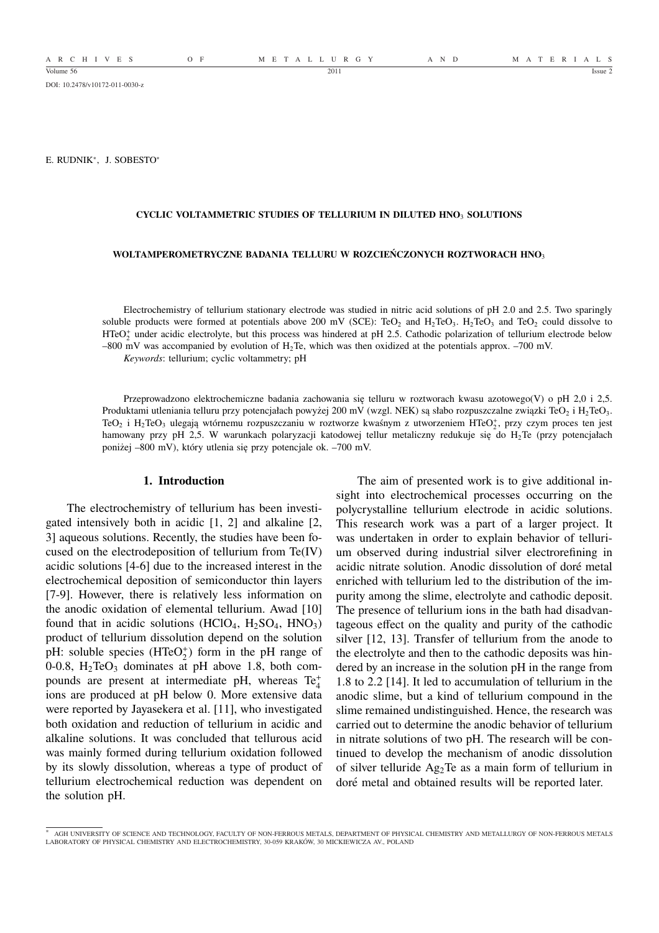DOI: 10.2478/v10172-011-0030-z

E. RUDNIK<sup>∗</sup> , J. SOBESTO<sup>∗</sup>

## **CYCLIC VOLTAMMETRIC STUDIES OF TELLURIUM IN DILUTED HNO**<sup>3</sup> **SOLUTIONS**

#### **WOLTAMPEROMETRYCZNE BADANIA TELLURU W ROZCIEŃCZONYCH ROZTWORACH HNO**<sup>3</sup>

Electrochemistry of tellurium stationary electrode was studied in nitric acid solutions of pH 2.0 and 2.5. Two sparingly soluble products were formed at potentials above 200 mV (SCE): TeO<sub>2</sub> and H<sub>2</sub>TeO<sub>3</sub>. H<sub>2</sub>TeO<sub>3</sub> and TeO<sub>2</sub> could dissolve to  $HTeO<sub>2</sub><sup>+</sup>$  under acidic electrolyte, but this process was hindered at pH 2.5. Cathodic polarization of tellurium electrode below –800 mV was accompanied by evolution of H<sub>2</sub>Te, which was then oxidized at the potentials approx. –700 mV.

*Keywords*: tellurium; cyclic voltammetry; pH

Przeprowadzono elektrochemiczne badania zachowania się telluru w roztworach kwasu azotowego(V) o pH 2,0 i 2,5. Produktami utleniania telluru przy potencjałach powyżej 200 mV (wzgl. NEK) są słabo rozpuszczalne związki TeO<sub>2</sub> i H<sub>2</sub>TeO<sub>3</sub>. TeO<sub>2</sub> i H<sub>2</sub>TeO<sub>3</sub> ulegają wtórnemu rozpuszczaniu w roztworze kwaśnym z utworzeniem HTeO<sub>2</sub><sup>+</sup>, przy czym proces ten jest hamowany przy pH 2,5. W warunkach polaryzacji katodowej tellur metaliczny redukuje się do H<sub>2</sub>Te (przy potencjałach poniżej –800 mV), który utlenia się przy potencjale ok. –700 mV.

### **1. Introduction**

The electrochemistry of tellurium has been investigated intensively both in acidic [1, 2] and alkaline [2, 3] aqueous solutions. Recently, the studies have been focused on the electrodeposition of tellurium from Te(IV) acidic solutions [4-6] due to the increased interest in the electrochemical deposition of semiconductor thin layers [7-9]. However, there is relatively less information on the anodic oxidation of elemental tellurium. Awad [10] found that in acidic solutions (HClO<sub>4</sub>,  $H_2SO_4$ , HNO<sub>3</sub>) product of tellurium dissolution depend on the solution pH: soluble species  $(HTeO<sub>2</sub><sup>+</sup>)$  form in the pH range of 0-0.8,  $H_2TeO_3$  dominates at pH above 1.8, both compounds are present at intermediate pH, whereas Te<sup>+</sup> ions are produced at pH below 0. More extensive data were reported by Jayasekera et al. [11], who investigated both oxidation and reduction of tellurium in acidic and alkaline solutions. It was concluded that tellurous acid was mainly formed during tellurium oxidation followed by its slowly dissolution, whereas a type of product of tellurium electrochemical reduction was dependent on the solution pH.

The aim of presented work is to give additional insight into electrochemical processes occurring on the polycrystalline tellurium electrode in acidic solutions. This research work was a part of a larger project. It was undertaken in order to explain behavior of tellurium observed during industrial silver electrorefining in acidic nitrate solution. Anodic dissolution of dore metal ´ enriched with tellurium led to the distribution of the impurity among the slime, electrolyte and cathodic deposit. The presence of tellurium ions in the bath had disadvantageous effect on the quality and purity of the cathodic silver [12, 13]. Transfer of tellurium from the anode to the electrolyte and then to the cathodic deposits was hindered by an increase in the solution pH in the range from 1.8 to 2.2 [14]. It led to accumulation of tellurium in the anodic slime, but a kind of tellurium compound in the slime remained undistinguished. Hence, the research was carried out to determine the anodic behavior of tellurium in nitrate solutions of two pH. The research will be continued to develop the mechanism of anodic dissolution of silver telluride Ag2Te as a main form of tellurium in doré metal and obtained results will be reported later.

<sup>∗</sup> AGH UNIVERSITY OF SCIENCE AND TECHNOLOGY, FACULTY OF NON-FERROUS METALS, DEPARTMENT OF PHYSICAL CHEMISTRY AND METALLURGY OF NON-FERROUS METALS LABORATORY OF PHYSICAL CHEMISTRY AND ELECTROCHEMISTRY, 30-059 KRAKÓW, 30 MICKIEWICZA AV., POLAND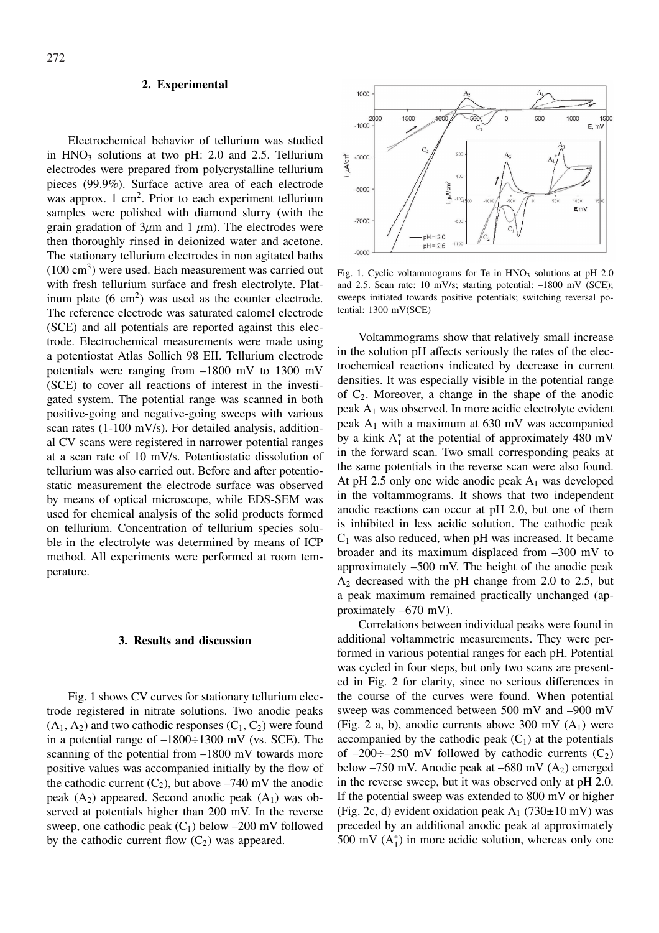## **2. Experimental**

Electrochemical behavior of tellurium was studied in  $HNO<sub>3</sub>$  solutions at two pH: 2.0 and 2.5. Tellurium electrodes were prepared from polycrystalline tellurium pieces (99.9%). Surface active area of each electrode was approx.  $1 \text{ cm}^2$ . Prior to each experiment tellurium samples were polished with diamond slurry (with the grain gradation of  $3\mu$ m and  $1 \mu$ m). The electrodes were then thoroughly rinsed in deionized water and acetone. The stationary tellurium electrodes in non agitated baths  $(100 \text{ cm}^3)$  were used. Each measurement was carried out with fresh tellurium surface and fresh electrolyte. Platinum plate  $(6 \text{ cm}^2)$  was used as the counter electrode. The reference electrode was saturated calomel electrode (SCE) and all potentials are reported against this electrode. Electrochemical measurements were made using a potentiostat Atlas Sollich 98 EII. Tellurium electrode potentials were ranging from –1800 mV to 1300 mV (SCE) to cover all reactions of interest in the investigated system. The potential range was scanned in both positive-going and negative-going sweeps with various scan rates (1-100 mV/s). For detailed analysis, additional CV scans were registered in narrower potential ranges at a scan rate of 10 mV/s. Potentiostatic dissolution of tellurium was also carried out. Before and after potentiostatic measurement the electrode surface was observed by means of optical microscope, while EDS-SEM was used for chemical analysis of the solid products formed on tellurium. Concentration of tellurium species soluble in the electrolyte was determined by means of ICP method. All experiments were performed at room temperature.

# **3. Results and discussion**

Fig. 1 shows CV curves for stationary tellurium electrode registered in nitrate solutions. Two anodic peaks  $(A_1, A_2)$  and two cathodic responses  $(C_1, C_2)$  were found in a potential range of  $-1800 \div 1300$  mV (vs. SCE). The scanning of the potential from –1800 mV towards more positive values was accompanied initially by the flow of the cathodic current  $(C_2)$ , but above –740 mV the anodic peak  $(A_2)$  appeared. Second anodic peak  $(A_1)$  was observed at potentials higher than 200 mV. In the reverse sweep, one cathodic peak  $(C_1)$  below –200 mV followed by the cathodic current flow  $(C_2)$  was appeared.



Fig. 1. Cyclic voltammograms for Te in  $HNO<sub>3</sub>$  solutions at pH 2.0 and 2.5. Scan rate: 10 mV/s; starting potential: –1800 mV (SCE); sweeps initiated towards positive potentials; switching reversal potential: 1300 mV(SCE)

Voltammograms show that relatively small increase in the solution pH affects seriously the rates of the electrochemical reactions indicated by decrease in current densities. It was especially visible in the potential range of  $C_2$ . Moreover, a change in the shape of the anodic peak  $A_1$  was observed. In more acidic electrolyte evident peak  $A_1$  with a maximum at 630 mV was accompanied by a kink  $A_1^*$  at the potential of approximately 480 mV in the forward scan. Two small corresponding peaks at the same potentials in the reverse scan were also found. At pH 2.5 only one wide anodic peak  $A_1$  was developed in the voltammograms. It shows that two independent anodic reactions can occur at pH 2.0, but one of them is inhibited in less acidic solution. The cathodic peak  $C_1$  was also reduced, when pH was increased. It became broader and its maximum displaced from –300 mV to approximately –500 mV. The height of the anodic peak A<sup>2</sup> decreased with the pH change from 2.0 to 2.5, but a peak maximum remained practically unchanged (approximately –670 mV).

Correlations between individual peaks were found in additional voltammetric measurements. They were performed in various potential ranges for each pH. Potential was cycled in four steps, but only two scans are presented in Fig. 2 for clarity, since no serious differences in the course of the curves were found. When potential sweep was commenced between 500 mV and –900 mV (Fig. 2 a, b), anodic currents above 300 mV  $(A_1)$  were accompanied by the cathodic peak  $(C_1)$  at the potentials of  $-200 \div -250$  mV followed by cathodic currents  $(C_2)$ below  $-750$  mV. Anodic peak at  $-680$  mV (A<sub>2</sub>) emerged in the reverse sweep, but it was observed only at pH 2.0. If the potential sweep was extended to 800 mV or higher (Fig. 2c, d) evident oxidation peak  $A_1$  (730 $\pm$ 10 mV) was preceded by an additional anodic peak at approximately 500 mV  $(A_1^*)$  in more acidic solution, whereas only one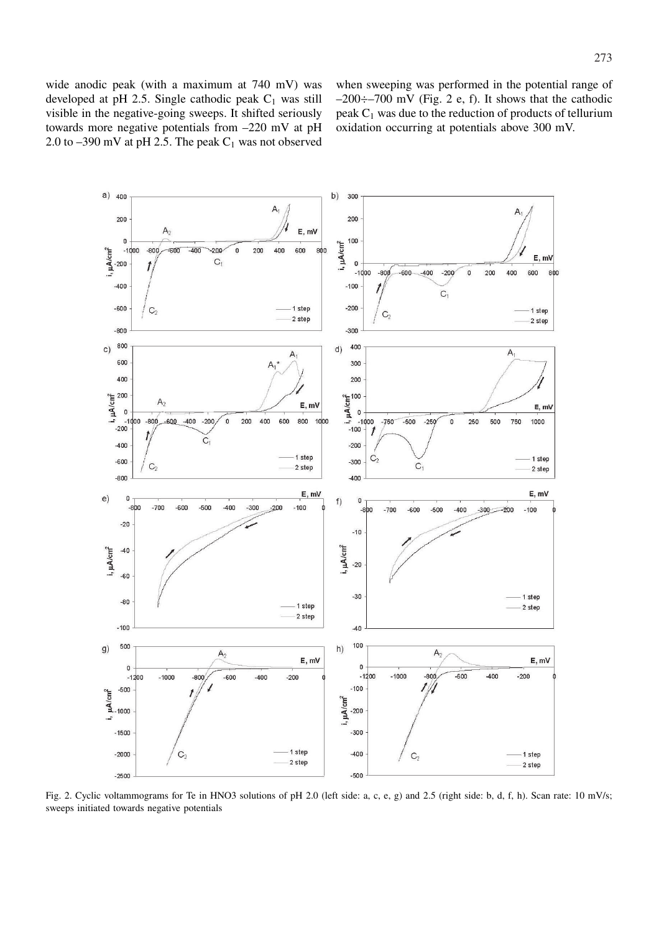wide anodic peak (with a maximum at 740 mV) was developed at pH 2.5. Single cathodic peak  $C_1$  was still visible in the negative-going sweeps. It shifted seriously towards more negative potentials from –220 mV at pH 2.0 to  $-390$  mV at pH 2.5. The peak  $C_1$  was not observed when sweeping was performed in the potential range of  $-200 \div -700$  mV (Fig. 2 e, f). It shows that the cathodic peak  $C_1$  was due to the reduction of products of tellurium oxidation occurring at potentials above 300 mV.



Fig. 2. Cyclic voltammograms for Te in HNO3 solutions of pH 2.0 (left side: a, c, e, g) and 2.5 (right side: b, d, f, h). Scan rate: 10 mV/s; sweeps initiated towards negative potentials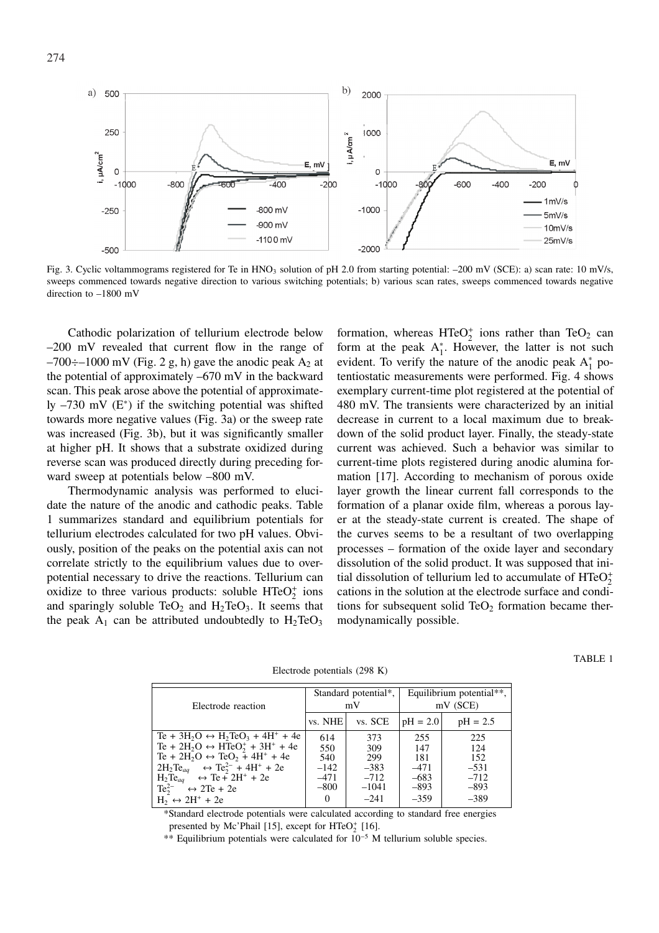

Fig. 3. Cyclic voltammograms registered for Te in  $HNO<sub>3</sub>$  solution of pH 2.0 from starting potential:  $-200$  mV (SCE): a) scan rate: 10 mV/s, sweeps commenced towards negative direction to various switching potentials; b) various scan rates, sweeps commenced towards negative direction to –1800 mV

Cathodic polarization of tellurium electrode below –200 mV revealed that current flow in the range of  $-700 \div -1000$  mV (Fig. 2 g, h) gave the anodic peak A<sub>2</sub> at the potential of approximately –670 mV in the backward scan. This peak arose above the potential of approximately  $-730$  mV ( $E^*$ ) if the switching potential was shifted towards more negative values (Fig. 3a) or the sweep rate was increased (Fig. 3b), but it was significantly smaller at higher pH. It shows that a substrate oxidized during reverse scan was produced directly during preceding forward sweep at potentials below –800 mV.

Thermodynamic analysis was performed to elucidate the nature of the anodic and cathodic peaks. Table 1 summarizes standard and equilibrium potentials for tellurium electrodes calculated for two pH values. Obviously, position of the peaks on the potential axis can not correlate strictly to the equilibrium values due to overpotential necessary to drive the reactions. Tellurium can oxidize to three various products: soluble  $HTeO_2^+$  ions and sparingly soluble  $TeO<sub>2</sub>$  and  $H<sub>2</sub>TeO<sub>3</sub>$ . It seems that the peak  $A_1$  can be attributed undoubtedly to  $H_2TeO_3$ 

formation, whereas  $HTeO_2^+$  ions rather than  $TeO_2$  can form at the peak  $A_1^*$ . However, the latter is not such evident. To verify the nature of the anodic peak  $A_1^*$  potentiostatic measurements were performed. Fig. 4 shows exemplary current-time plot registered at the potential of 480 mV. The transients were characterized by an initial decrease in current to a local maximum due to breakdown of the solid product layer. Finally, the steady-state current was achieved. Such a behavior was similar to current-time plots registered during anodic alumina formation [17]. According to mechanism of porous oxide layer growth the linear current fall corresponds to the formation of a planar oxide film, whereas a porous layer at the steady-state current is created. The shape of the curves seems to be a resultant of two overlapping processes – formation of the oxide layer and secondary dissolution of the solid product. It was supposed that initial dissolution of tellurium led to accumulate of  $HTeO<sub>2</sub><sup>+</sup>$ cations in the solution at the electrode surface and conditions for subsequent solid  $TeO<sub>2</sub>$  formation became thermodynamically possible.

Electrode potentials (298 K)

| Electrode reaction                                                                                                                                                                                                                                                                                                                                                                                                      | Standard potential*,<br>mV                           |                                                            | Equilibrium potential**,<br>$mV$ (SCE)                    |                                                           |
|-------------------------------------------------------------------------------------------------------------------------------------------------------------------------------------------------------------------------------------------------------------------------------------------------------------------------------------------------------------------------------------------------------------------------|------------------------------------------------------|------------------------------------------------------------|-----------------------------------------------------------|-----------------------------------------------------------|
|                                                                                                                                                                                                                                                                                                                                                                                                                         | vs. NHE                                              | vs. SCE                                                    | $pH = 2.0$                                                | $pH = 2.5$                                                |
| Te + $3H_2O \leftrightarrow H_2TeO_3 + 4H^+ + 4e$<br>Te + $2H_2O \leftrightarrow HTeO_2^+ + 3H^+ + 4e$<br>Te + 2H <sub>2</sub> O $\leftrightarrow$ TeO <sub>2</sub> + 4H <sup>+</sup> + 4e<br>$2H_2Te_{aq}$ $\leftrightarrow$ Te <sup>2-</sup> + 4H <sup>+</sup> + 2e<br>$H_2Te_{aq}$ $\leftrightarrow$ Te $\tilde{+}$ 2H <sup>+</sup> + 2e<br>$Te_2^{2-1} \leftrightarrow 2Te + 2e$<br>$H_2 \leftrightarrow 2H^+ + 2e$ | 614<br>550<br>540<br>$-142$<br>$-471$<br>$-800$<br>0 | 373<br>309<br>299<br>$-383$<br>$-712$<br>$-1041$<br>$-241$ | 255<br>147<br>181<br>$-471$<br>$-683$<br>$-893$<br>$-359$ | 225<br>124<br>152<br>$-531$<br>$-712$<br>$-893$<br>$-389$ |

\*Standard electrode potentials were calculated according to standard free energies presented by Mc'Phail [15], except for  $HTeO<sub>2</sub><sup>+</sup>$  [16].

\*\* Equilibrium potentials were calculated for 10<sup>−</sup><sup>5</sup> M tellurium soluble species.

TABLE 1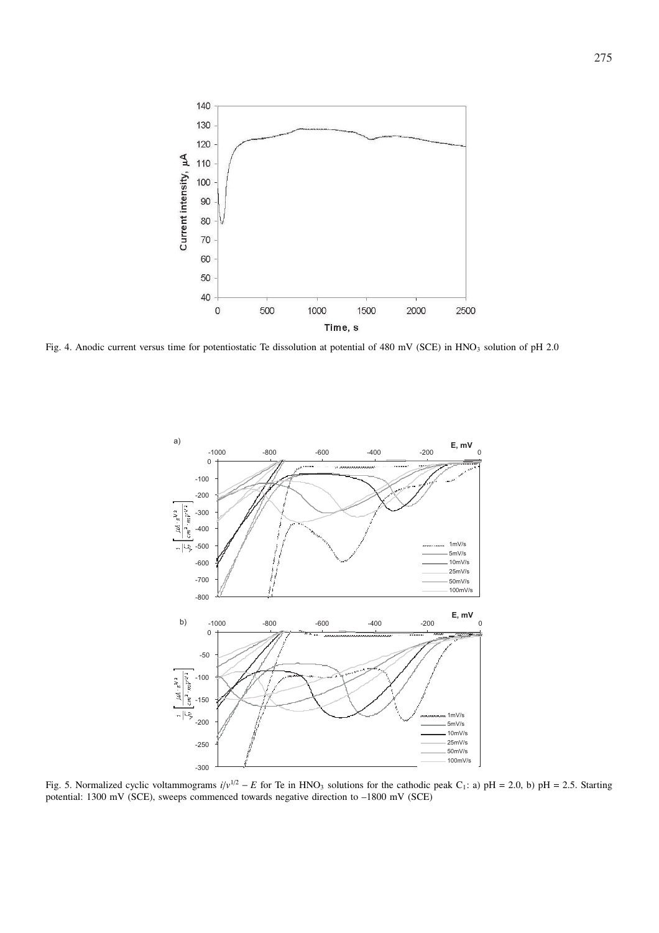

Fig. 4. Anodic current versus time for potentiostatic Te dissolution at potential of 480 mV (SCE) in HNO<sub>3</sub> solution of pH 2.0



Fig. 5. Normalized cyclic voltammograms  $i/v^{1/2} - E$  for Te in HNO<sub>3</sub> solutions for the cathodic peak C<sub>1</sub>: a) pH = 2.0, b) pH = 2.5. Starting potential: 1300 mV (SCE), sweeps commenced towards negative direction to –1800 mV (SCE)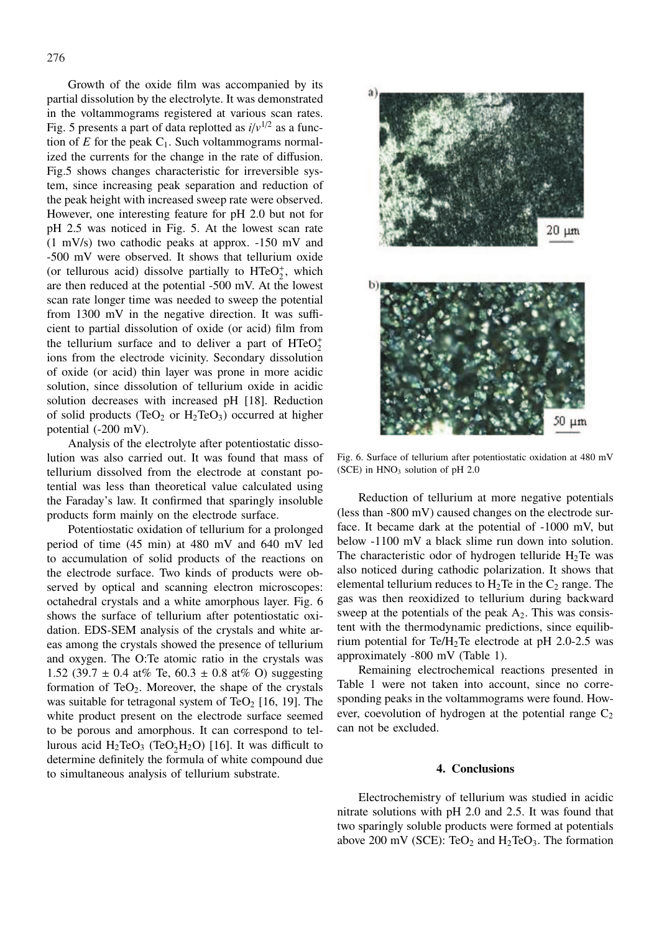Growth of the oxide film was accompanied by its partial dissolution by the electrolyte. It was demonstrated in the voltammograms registered at various scan rates. Fig. 5 presents a part of data replotted as  $i/v^{1/2}$  as a function of  $E$  for the peak  $C_1$ . Such voltammograms normalized the currents for the change in the rate of diffusion. Fig.5 shows changes characteristic for irreversible system, since increasing peak separation and reduction of the peak height with increased sweep rate were observed. However, one interesting feature for pH 2.0 but not for pH 2.5 was noticed in Fig. 5. At the lowest scan rate (1 mV/s) two cathodic peaks at approx. -150 mV and -500 mV were observed. It shows that tellurium oxide (or tellurous acid) dissolve partially to  $HTeO<sub>2</sub><sup>+</sup>$ , which are then reduced at the potential -500 mV. At the lowest scan rate longer time was needed to sweep the potential from 1300 mV in the negative direction. It was sufficient to partial dissolution of oxide (or acid) film from the tellurium surface and to deliver a part of  $HTeO<sub>2</sub><sup>+</sup>$ ions from the electrode vicinity. Secondary dissolution of oxide (or acid) thin layer was prone in more acidic solution, since dissolution of tellurium oxide in acidic solution decreases with increased pH [18]. Reduction of solid products (TeO<sub>2</sub> or  $H_2TeO_3$ ) occurred at higher potential (-200 mV).

Analysis of the electrolyte after potentiostatic dissolution was also carried out. It was found that mass of tellurium dissolved from the electrode at constant potential was less than theoretical value calculated using the Faraday's law. It confirmed that sparingly insoluble products form mainly on the electrode surface.

Potentiostatic oxidation of tellurium for a prolonged period of time (45 min) at 480 mV and 640 mV led to accumulation of solid products of the reactions on the electrode surface. Two kinds of products were observed by optical and scanning electron microscopes: octahedral crystals and a white amorphous layer. Fig. 6 shows the surface of tellurium after potentiostatic oxidation. EDS-SEM analysis of the crystals and white areas among the crystals showed the presence of tellurium and oxygen. The O:Te atomic ratio in the crystals was 1.52 (39.7  $\pm$  0.4 at% Te, 60.3  $\pm$  0.8 at% O) suggesting formation of  $TeO<sub>2</sub>$ . Moreover, the shape of the crystals was suitable for tetragonal system of TeO<sub>2</sub> [16, 19]. The white product present on the electrode surface seemed to be porous and amorphous. It can correspond to tellurous acid  $H_2TeO_3$  (TeO<sub>2</sub>H<sub>2</sub>O) [16]. It was difficult to determine definitely the formula of white compound due to simultaneous analysis of tellurium substrate.



Fig. 6. Surface of tellurium after potentiostatic oxidation at 480 mV (SCE) in  $HNO<sub>3</sub>$  solution of pH 2.0

Reduction of tellurium at more negative potentials (less than -800 mV) caused changes on the electrode surface. It became dark at the potential of -1000 mV, but below -1100 mV a black slime run down into solution. The characteristic odor of hydrogen telluride  $H_2$ Te was also noticed during cathodic polarization. It shows that elemental tellurium reduces to  $H_2$ Te in the  $C_2$  range. The gas was then reoxidized to tellurium during backward sweep at the potentials of the peak  $A_2$ . This was consistent with the thermodynamic predictions, since equilibrium potential for Te/H<sub>2</sub>Te electrode at pH 2.0-2.5 was approximately -800 mV (Table 1).

Remaining electrochemical reactions presented in Table 1 were not taken into account, since no corresponding peaks in the voltammograms were found. However, coevolution of hydrogen at the potential range  $C_2$ can not be excluded.

## **4. Conclusions**

Electrochemistry of tellurium was studied in acidic nitrate solutions with pH 2.0 and 2.5. It was found that two sparingly soluble products were formed at potentials above 200 mV (SCE): TeO<sub>2</sub> and  $H_2TeO_3$ . The formation